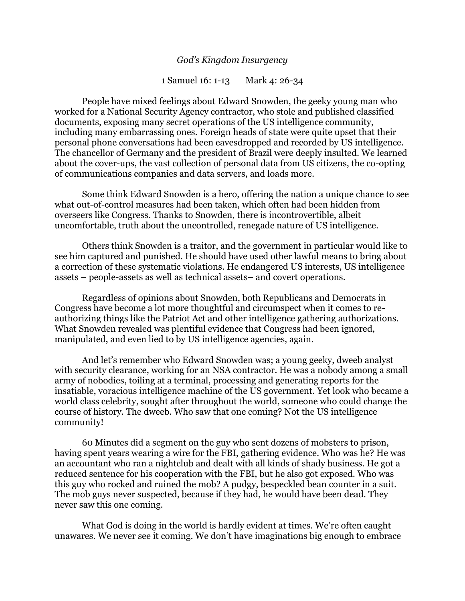## *God's Kingdom Insurgency*

1 Samuel 16: 1-13 Mark 4: 26-34

People have mixed feelings about Edward Snowden, the geeky young man who worked for a National Security Agency contractor, who stole and published classified documents, exposing many secret operations of the US intelligence community, including many embarrassing ones. Foreign heads of state were quite upset that their personal phone conversations had been eavesdropped and recorded by US intelligence. The chancellor of Germany and the president of Brazil were deeply insulted. We learned about the cover-ups, the vast collection of personal data from US citizens, the co-opting of communications companies and data servers, and loads more.

Some think Edward Snowden is a hero, offering the nation a unique chance to see what out-of-control measures had been taken, which often had been hidden from overseers like Congress. Thanks to Snowden, there is incontrovertible, albeit uncomfortable, truth about the uncontrolled, renegade nature of US intelligence.

Others think Snowden is a traitor, and the government in particular would like to see him captured and punished. He should have used other lawful means to bring about a correction of these systematic violations. He endangered US interests, US intelligence assets – people-assets as well as technical assets– and covert operations.

Regardless of opinions about Snowden, both Republicans and Democrats in Congress have become a lot more thoughtful and circumspect when it comes to reauthorizing things like the Patriot Act and other intelligence gathering authorizations. What Snowden revealed was plentiful evidence that Congress had been ignored, manipulated, and even lied to by US intelligence agencies, again.

And let's remember who Edward Snowden was; a young geeky, dweeb analyst with security clearance, working for an NSA contractor. He was a nobody among a small army of nobodies, toiling at a terminal, processing and generating reports for the insatiable, voracious intelligence machine of the US government. Yet look who became a world class celebrity, sought after throughout the world, someone who could change the course of history. The dweeb. Who saw that one coming? Not the US intelligence community!

60 Minutes did a segment on the guy who sent dozens of mobsters to prison, having spent years wearing a wire for the FBI, gathering evidence. Who was he? He was an accountant who ran a nightclub and dealt with all kinds of shady business. He got a reduced sentence for his cooperation with the FBI, but he also got exposed. Who was this guy who rocked and ruined the mob? A pudgy, bespeckled bean counter in a suit. The mob guys never suspected, because if they had, he would have been dead. They never saw this one coming.

What God is doing in the world is hardly evident at times. We're often caught unawares. We never see it coming. We don't have imaginations big enough to embrace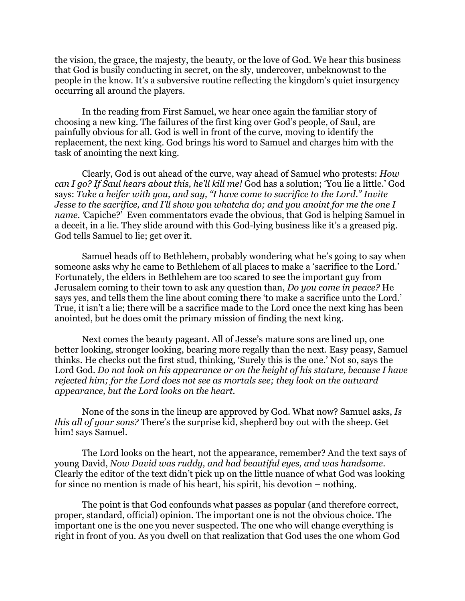the vision, the grace, the majesty, the beauty, or the love of God. We hear this business that God is busily conducting in secret, on the sly, undercover, unbeknownst to the people in the know. It's a subversive routine reflecting the kingdom's quiet insurgency occurring all around the players.

In the reading from First Samuel, we hear once again the familiar story of choosing a new king. The failures of the first king over God's people, of Saul, are painfully obvious for all. God is well in front of the curve, moving to identify the replacement, the next king. God brings his word to Samuel and charges him with the task of anointing the next king.

Clearly, God is out ahead of the curve, way ahead of Samuel who protests: *How can I go? If Saul hears about this, he'll kill me!* God has a solution; 'You lie a little.' God says: *Take a heifer with you, and say, "I have come to sacrifice to the Lord." Invite Jesse to the sacrifice, and I'll show you whatcha do; and you anoint for me the one I name*. *Capiche?'* Even commentators evade the obvious, that God is helping Samuel in a deceit, in a lie. They slide around with this God-lying business like it's a greased pig. God tells Samuel to lie; get over it.

Samuel heads off to Bethlehem, probably wondering what he's going to say when someone asks why he came to Bethlehem of all places to make a 'sacrifice to the Lord.' Fortunately, the elders in Bethlehem are too scared to see the important guy from Jerusalem coming to their town to ask any question than, *Do you come in peace?* He says yes, and tells them the line about coming there 'to make a sacrifice unto the Lord.' True, it isn't a lie; there will be a sacrifice made to the Lord once the next king has been anointed, but he does omit the primary mission of finding the next king.

Next comes the beauty pageant. All of Jesse's mature sons are lined up, one better looking, stronger looking, bearing more regally than the next. Easy peasy, Samuel thinks. He checks out the first stud, thinking, 'Surely this is the one.' Not so, says the Lord God. *Do not look on his appearance or on the height of his stature, because I have rejected him; for the Lord does not see as mortals see; they look on the outward appearance, but the Lord looks on the heart.*

None of the sons in the lineup are approved by God. What now? Samuel asks, *Is this all of your sons?* There's the surprise kid, shepherd boy out with the sheep. Get him! says Samuel.

The Lord looks on the heart, not the appearance, remember? And the text says of young David, *Now David was ruddy, and had beautiful eyes, and was handsome*. Clearly the editor of the text didn't pick up on the little nuance of what God was looking for since no mention is made of his heart, his spirit, his devotion – nothing.

The point is that God confounds what passes as popular (and therefore correct, proper, standard, official) opinion. The important one is not the obvious choice. The important one is the one you never suspected. The one who will change everything is right in front of you. As you dwell on that realization that God uses the one whom God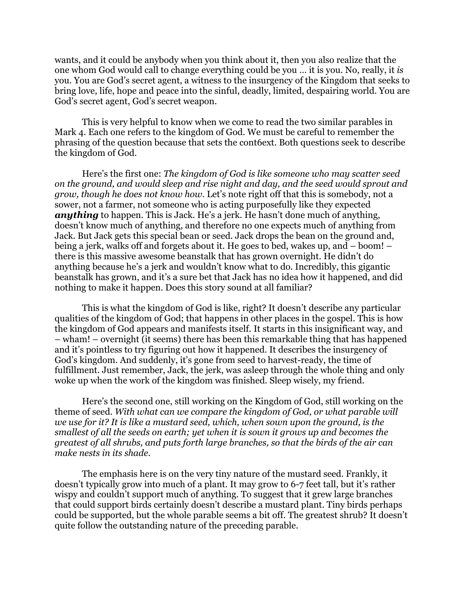wants, and it could be anybody when you think about it, then you also realize that the one whom God would call to change everything could be you … it is you. No, really, it *is*  you. You are God's secret agent, a witness to the insurgency of the Kingdom that seeks to bring love, life, hope and peace into the sinful, deadly, limited, despairing world. You are God's secret agent, God's secret weapon.

This is very helpful to know when we come to read the two similar parables in Mark 4. Each one refers to the kingdom of God. We must be careful to remember the phrasing of the question because that sets the cont6ext. Both questions seek to describe the kingdom of God.

Here's the first one: *The kingdom of God is like someone who may scatter seed on the ground, and would sleep and rise night and day, and the seed would sprout and grow, though he does not know how*. Let's note right off that this is somebody, not a sower, not a farmer, not someone who is acting purposefully like they expected *anything* to happen. This is Jack. He's a jerk. He hasn't done much of anything, doesn't know much of anything, and therefore no one expects much of anything from Jack. But Jack gets this special bean or seed. Jack drops the bean on the ground and, being a jerk, walks off and forgets about it. He goes to bed, wakes up, and – boom! – there is this massive awesome beanstalk that has grown overnight. He didn't do anything because he's a jerk and wouldn't know what to do. Incredibly, this gigantic beanstalk has grown, and it's a sure bet that Jack has no idea how it happened, and did nothing to make it happen. Does this story sound at all familiar?

This is what the kingdom of God is like, right? It doesn't describe any particular qualities of the kingdom of God; that happens in other places in the gospel. This is how the kingdom of God appears and manifests itself. It starts in this insignificant way, and – wham! – overnight (it seems) there has been this remarkable thing that has happened and it's pointless to try figuring out how it happened. It describes the insurgency of God's kingdom. And suddenly, it's gone from seed to harvest-ready, the time of fulfillment. Just remember, Jack, the jerk, was asleep through the whole thing and only woke up when the work of the kingdom was finished. Sleep wisely, my friend.

Here's the second one, still working on the Kingdom of God, still working on the theme of seed. *With what can we compare the kingdom of God, or what parable will we use for it? It is like a mustard seed, which, when sown upon the ground, is the smallest of all the seeds on earth; yet when it is sown it grows up and becomes the greatest of all shrubs, and puts forth large branches, so that the birds of the air can make nests in its shade.* 

The emphasis here is on the very tiny nature of the mustard seed. Frankly, it doesn't typically grow into much of a plant. It may grow to 6-7 feet tall, but it's rather wispy and couldn't support much of anything. To suggest that it grew large branches that could support birds certainly doesn't describe a mustard plant. Tiny birds perhaps could be supported, but the whole parable seems a bit off. The greatest shrub? It doesn't quite follow the outstanding nature of the preceding parable.